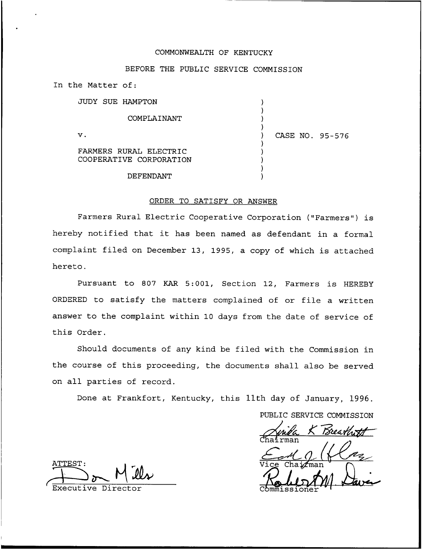### COMMONWEALTH OF KENTUCKY

### BEFORE THE PUBLIC SERVICE COMMISSION

) ) ) )

) ) ) ) )

In the Matter of:

 $\mathbf v$ .

|  | JUDY SUE HAMPTON |  |
|--|------------------|--|
|  | COMPLAINANT      |  |

) CASE NO. 95-576

FARMERS RURAL ELECTRIC COOPERATIVE CORPORATION

DEFENDANT

### ORDER TO SATISFY OR ANSWER

Farmers Rural Electric Cooperative Corporation ("Farmers") is hereby notified that it has been named as defendant in <sup>a</sup> formal complaint filed on December 13, 1995, a copy of which is attached hereto.

Pursuant to 807 KAR 5:001, Section 12, Farmers is HEREBY ORDERED to satisfy the matters complained of or file a written answer to the complaint within 10 days from the date of service of this Order.

Should documents of any kind be filed with the Commission in the course of this proceeding, the documents shall also be served on all parties of record.

Done at Frankfort, Kentucky, this 11th day of January, 1996.

PUBLIC SERVICE COMMISSION

Anida K Breath<br>England<br>Vice Chairman Font 1 (1602)

Executive Director Commissioner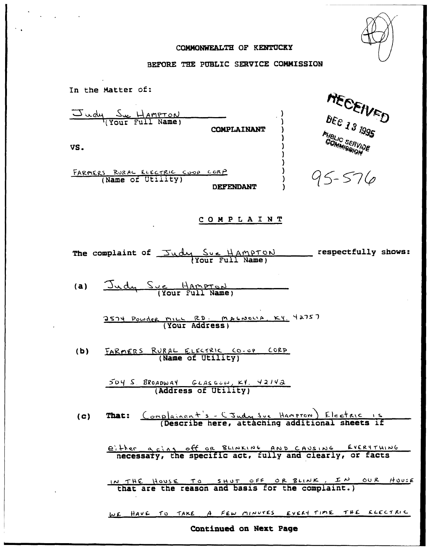

## COMMONWEALTH OF KENTUCKY

 $\hat{\phantom{a}}$  $\ddot{\phantom{a}}$ 

# BEFORE THE PUBLIC SERVICE COMMISSION

| In the Matter of:                                                         |
|---------------------------------------------------------------------------|
| MECEIVED<br>$\frac{S_{wdu}}{(Y_{OUF} - Fult)$ Names<br>COMPLAINANT        |
| PUBLIC<br>COMMISSION<br>VS.                                               |
| FARMERS RURAL ELECTRIC COOP CORP<br>95-576<br>DEFENDANT                   |
| COMPLAINT                                                                 |
| The complaint of $\frac{Sudu}{\text{Your Full Name}}$ respectfully shows: |
| Judy Sye Hampton<br>(a)                                                   |
| 2574 Powder MILL RD. MACNOLLA, KY. 42757                                  |
| FARMERS RURAL ELECTRIC CO.OP CORP<br>(b)                                  |
| 504 S. BROADWAY GLASGOW, KY. 42142<br>(Address of Utility)                |
| That: Complainant's - CJudy Sve Hampron) Electric is<br>(c)               |
| either a cing off or BLINKING AND CAUSING EVERYTHING                      |
| IN THE HOUSE TO SHUT OFF OR BLINK, IN OUR HOUSE                           |
| WE HAVE TO TAKE A FEW MINUTES EVERY TIME THE ELECTRIC                     |

Continued on Next Page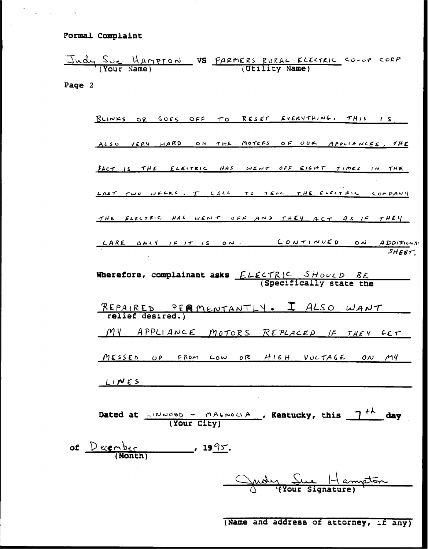Formal Complaint

Judy Sue Hampson VS FARMERS RURAL ELECTRIC CO-OP CORP Page 2

BLINKS OR GOES OFF TO RESET EVERYTHING. THIS IS ALSO VERY HARD ON THE MOTCRS OF OUR APPLIANCES, THE FACT IS THE ELECTRIC HAS WENT OFF EIGHT TIMES IN THE LAST TWO WEEKS, I CALL TO TELL THE ELECTRIC COMPANY THE ELECTRIC HAS WENT OFF AND THEY ACT AS IF THEY CARE ONLY IF IT IS ON. CONTINUED  $\circ$   $\sim$ *ADDITIONAL*  $SHEET$ Wherefore, complainant asks  $ELECTRIC$  SHOULD RE<br>(Specifically state the <u>PERMENTANTLY. I ALSO WANT</u> REPAIRED relief desired.) MY APPLIANCE MOTORS REPLACED IF THEY GET MESSED UP FROM LOW OR HIGH VOLTAGE ON MY  $LINES$ 

Dated at  $\frac{\Box w \lor \Box w \lor b}{}$  - mALNOLIA, Kentucky, this  $\frac{\gamma+h}{h}$  day (Your City)

of  $Deember$  (Month)  $\frac{1995}{.}$ 

Judy Sue Hampton

(Name and address of attorney, if any)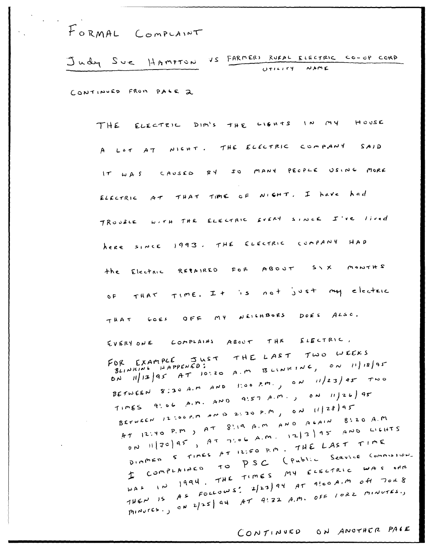FORMAL COMPLAINT

Judy Sue HAMPTON VS FARMERS RURAL ELECTRIC CO-OP CORP UTILITY NAME

CONTINUED FROM PACE 2

THE ELECTRIC DIM'S THE LIGHTS IN MY HOUSE A LOT AT NIGHT. THE ELECTRIC  $COMPANY$   $SAND$ RY SO MANY PECPLE USING MORE IT WAS CAUSED ELECTRIC AT THAT TIME OF NIGHT. I have had TROUBLE WITH THE ELECTRIC EVERY SINCE I'VE lived Lere since 1993. THE ELECTRIC COMPANY HAD Electric REPAIRED FOR ABOUT SIX MONTHS  $+he$ OF THAT TIME. It is not just my electric THAT GOES OFF MY NEICHBORS DOES ALSO. EVERY ONE COMPLAINS ABOUT THE ELECTRIC, FOR EXAMPLE JUST THE LAST TWO WEEKS ON 11/13/95 AT 10:20 A.M BLINKING, ON 11/18/95 BETWEEN 8:30 A.M AND too P.M., ON 11/23/95 TWO TIMES 9'06 A.M. AND 9'ST A.M., ON 11/26/95 BETWEEN 12 LOOP.M AND 2:30 P.M, ON 11/28/95 AT 12:40 P.M  $_2$  AT 8:19 A.M AND ALAIN 8:20 A.M ON 11/30/95, AT 7:06 A.M. 12/3/95 AND LILLITS DIMMED 5 TIMES AT 12:50 P.M. THE LAST TIME I COMPLAINED TO PSC (Public Service Commission. WAS IN 1994. THE TIMES MY ELECTRIC WAS OFF THEN IS AS FOLLOWS: 2/23) 94 AT 9!00 A.M off TOKS MINUTES., ON 2/25/94 AT 9!32 A.M. OFF 10RZ MINUTES.,

CONTINUED ON ANOTHER PALE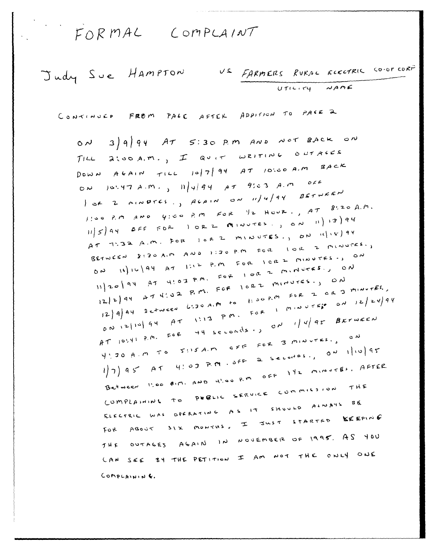FORMAL COMPLAINT

Judy Sue Hampton US FARMERS RURAL ELECTRIC CO-OP CORP UTILITY NAME

CONTINUED FROM PALE AFTER ADDITION TO PACE 2

 $ON$  3) 9) 94 AT 5:30 P.M AND NOT BACK ON TILL 2100 A.M., I QUIT WRITING OUTAGES DOWN AGAIN TILL 10/7/94 AT 10:00 A.M BACK ON JOSYTAM.,  $\ln|4|84$  AT 9503 A.M OFF  $\int$  of Z MINDTES, ALAIN ON 11/4/94 BETWEEN  $1!$ 00 P.M AND  $y$ :00 P.M FOR  $y$ 2 Hour., AT 8.20 A.M. AT TIBA A.M. FOR IOR 2 MINUTES., ON 14/18/94 BETWEEN 8:30 A.M AND 1:30 P.M FOR 10R 2 MINUTES., ON 11/16/94 AT 1:12 P.M FOR ICRZ MINUTES., ON  $1120$  44 AT 4:03 P.M. FOR 1 OR 2 MINUTES., ON  $12/2$  94  $27$  4'02 P.M. FOR 10RZ MINUTES., ON  $12|4|$  Ay Detween 6.30 A.M to 1:00 P.M FOR 2 OR 3 MINUTES.  $0.012110194$   $113.799$ . FOR 1 MINUTEP 0N 12/24/94 AT 10141 P.M. FOR 44 seconds.)  $\sigma N$  1/4/95 BETWEEN YYJOA.M TO JUSA.M CFF FOR 3 MINUTES., ON  $1/7)$  95 AT 4:03 P.M. SFF 2 Seconds., 02 1/10/95 Between 1:00 AIM. AND 4'.00 P.M OFF 142 MINUTES, AFTER COMPLAINING TO PUBLIC SERVICE COMMISSION THE ELECTRIC WAS OPERATING AS IT SHOULD ALWAYS BE FOR ABOUT SIX MONTHS, I JUST STARTED KEEPING THE OUTAGES AGAIN IN NOVEMBER OF 1995. AS YOU CAN SEE BY THE PETITION I AM NOT THE ONLY ONE COMPLAINING.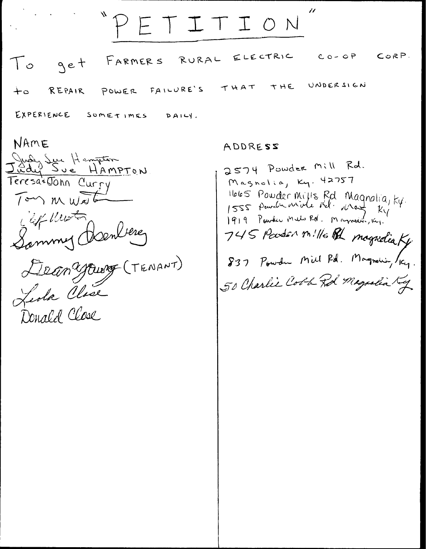RURAL ELECTRIC  $C_0 - C_1 P$ CORP. FARMER S  $To$ get UNDERSIGN THE THAT POWER FAILURE'S REPAIR  $+$ 0 EXPERIENCE SOMETIMES  $P A I L$ 

PETITION

NAME Judy Sur Hampton<br>Judy Sur HAMPTON Teresa+John Curry  $T$ on  $M$   $W$ Lef Keist Sammy Hanler Dean Yourg (TENANT)

ADDRESS

2574 Powder Mill Rd. Magnolia, Ky. 42757 1665 Powder Mills Rd Magnolia, ky.<br>1555 Powder midd Nd. Magnolia, ky.<br>1919 Powder Mato Rd. Magnolia, 161. 745 Parter nille Rd magnetic Ky. 837 Powder Mill Pd. Magnolic, /Kg. 50 Charlie Cobb Rd Magnelia Ky

 $\prime\prime$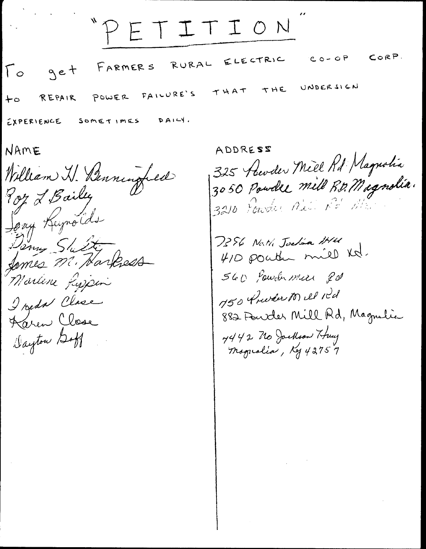"PETITION  $CORP$ .  $C_0 - QP$ ELECTRIC RURAL FARMER S get  $\int_{0}^{1}$ UNDERSIGN THE THAT FAILURE'S POWER REPAIR  $+$ 0  $DAI+1$ . EXPERIENCE SOMETIMES

NAME

William W. Benningfield Poy L Bailey Jony Kujnolds Danny Slutty famies m. Harless Martine Lyjsin I reda Clase Karen Close Dayton Doff

ADDRESS 325 Revoler Mill Rd Magnolia 3050 Powder mill R.D. Magnolia. 3210 Fowder Nell Re Mr. 7386 Nath Joslan IHM 410 pointer mill Kd. 560 Powder mere 20 M50 Preview 10) ill idd 882 Fourder Mill Rd, Magnulie 7442 No Jockson Huy<br>Mogualia, Kg 43757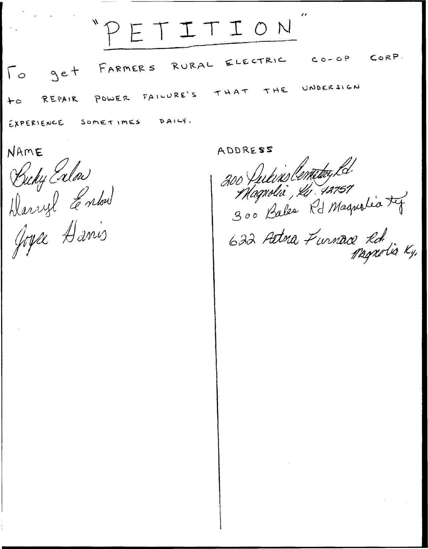TITION CORP.  $C_0 - C_1$ ELECTRIC RURAL FARMER S get  $\Gamma$ UNDERSIGN THE THAT FAILURE'S POWER REPAIR ت ← EXPERIENCE  $DAI-Y$ .  $S$  omet  $1$  mES

NAME

Budy Enlow Darryl Entre

Joyce Danis

ADDRESS

200 fulins Centery Ld. Magnolia, Ki 42757 300 Bales Rd Magnolia ty 622 Artma Furnace Rd. Magnolia Ky,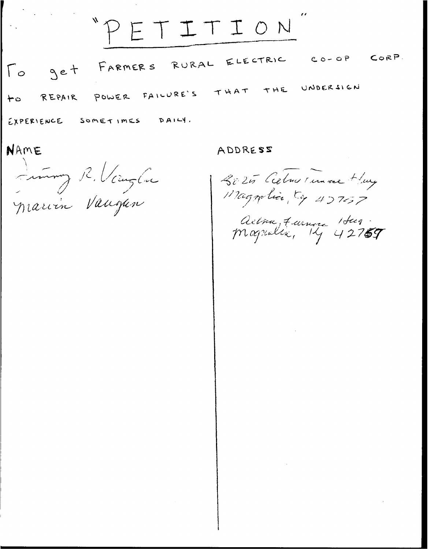$"P"$ TITION Jet FARMERS RURAL ELECTRIC CO-OP CORP.  $\lceil \circ$ THE UNDERSIGN POWER FAILURE'S THAT REPAIR  $+$ 0 EXPERIENCE SOMETIMES DAILY.

NAME

Immy R. Vauglie

ADDRESS

2025 Celmer un ree Huy Magnolia Ce 427657

Actra, Farnere 1 Sug.<br>Magnalia, 14 42757